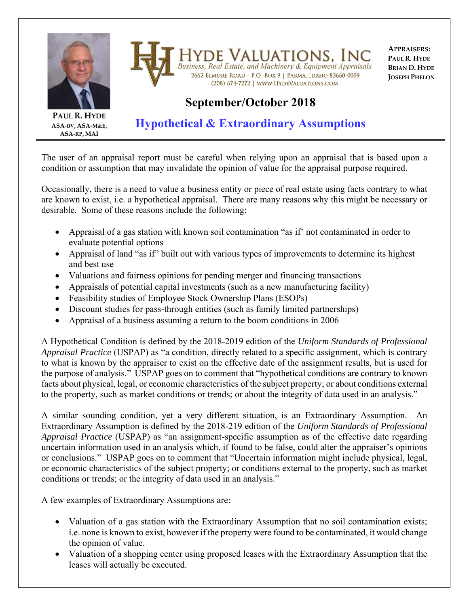

**HYDE VALUATIONS, INC**<br>Business, Real Estate, and Machinery & Equipment Appraisals 2662 ELMORE ROAD - P.O. BOX 9 | PARMA, IDAHO 83660-0009 (208) 674-7272 | WWW.HYDEVALUATIONS.COM

**APPRAISERS: PAUL R. HYDE BRIAN D. HYDE JOSEPH PHELON**

## **September/October 2018**

**PAUL R. HYDE ASA‐BV, ASA‐M&E, ASA‐RP, MAI**

## **Hypothetical & Extraordinary Assumptions**

The user of an appraisal report must be careful when relying upon an appraisal that is based upon a condition or assumption that may invalidate the opinion of value for the appraisal purpose required.

Occasionally, there is a need to value a business entity or piece of real estate using facts contrary to what are known to exist, i.e. a hypothetical appraisal. There are many reasons why this might be necessary or desirable. Some of these reasons include the following:

- Appraisal of a gas station with known soil contamination "as if' not contaminated in order to evaluate potential options
- Appraisal of land "as if" built out with various types of improvements to determine its highest and best use
- Valuations and fairness opinions for pending merger and financing transactions
- Appraisals of potential capital investments (such as a new manufacturing facility)
- Feasibility studies of Employee Stock Ownership Plans (ESOPs)
- Discount studies for pass-through entities (such as family limited partnerships)
- Appraisal of a business assuming a return to the boom conditions in 2006

A Hypothetical Condition is defined by the 2018-2019 edition of the *Uniform Standards of Professional Appraisal Practice* (USPAP) as "a condition, directly related to a specific assignment, which is contrary to what is known by the appraiser to exist on the effective date of the assignment results, but is used for the purpose of analysis." USPAP goes on to comment that "hypothetical conditions are contrary to known facts about physical, legal, or economic characteristics of the subject property; or about conditions external to the property, such as market conditions or trends; or about the integrity of data used in an analysis."

A similar sounding condition, yet a very different situation, is an Extraordinary Assumption. An Extraordinary Assumption is defined by the 2018-219 edition of the *Uniform Standards of Professional Appraisal Practice* (USPAP) as "an assignment-specific assumption as of the effective date regarding uncertain information used in an analysis which, if found to be false, could alter the appraiser's opinions or conclusions." USPAP goes on to comment that "Uncertain information might include physical, legal, or economic characteristics of the subject property; or conditions external to the property, such as market conditions or trends; or the integrity of data used in an analysis."

A few examples of Extraordinary Assumptions are:

- Valuation of a gas station with the Extraordinary Assumption that no soil contamination exists; i.e. none is known to exist, however if the property were found to be contaminated, it would change the opinion of value.
- Valuation of a shopping center using proposed leases with the Extraordinary Assumption that the leases will actually be executed.